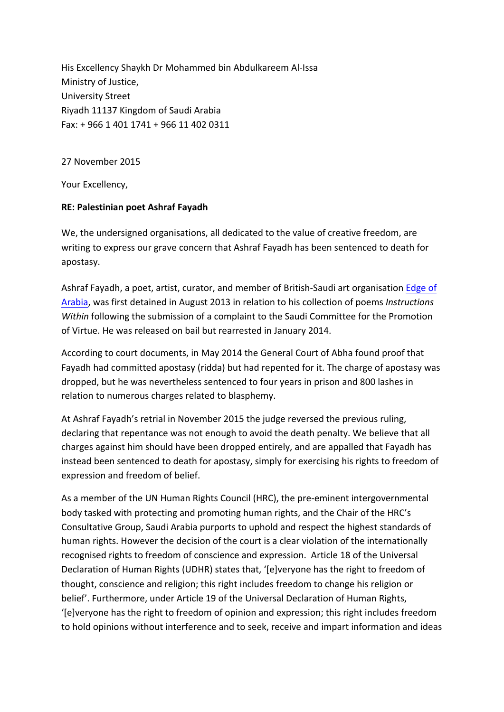His Excellency Shaykh Dr Mohammed bin Abdulkareem Al-Issa Ministry of Justice, University Street Riyadh 11137 Kingdom of Saudi Arabia Fax: + 966 1 401 1741 + 966 11 402 0311

## 27 November 2015

Your Excellency,

## **RE: Palestinian poet Ashraf Fayadh**

We, the undersigned organisations, all dedicated to the value of creative freedom, are writing to express our grave concern that Ashraf Fayadh has been sentenced to death for apostasy. 

Ashraf Fayadh, a poet, artist, curator, and member of British-Saudi art organisation Edge of Arabia, was first detained in August 2013 in relation to his collection of poems *Instructions Within* following the submission of a complaint to the Saudi Committee for the Promotion of Virtue. He was released on bail but rearrested in January 2014.

According to court documents, in May 2014 the General Court of Abha found proof that Fayadh had committed apostasy (ridda) but had repented for it. The charge of apostasy was dropped, but he was nevertheless sentenced to four years in prison and 800 lashes in relation to numerous charges related to blasphemy.

At Ashraf Fayadh's retrial in November 2015 the judge reversed the previous ruling, declaring that repentance was not enough to avoid the death penalty. We believe that all charges against him should have been dropped entirely, and are appalled that Fayadh has instead been sentenced to death for apostasy, simply for exercising his rights to freedom of expression and freedom of belief.

As a member of the UN Human Rights Council (HRC), the pre-eminent intergovernmental body tasked with protecting and promoting human rights, and the Chair of the HRC's Consultative Group, Saudi Arabia purports to uphold and respect the highest standards of human rights. However the decision of the court is a clear violation of the internationally recognised rights to freedom of conscience and expression. Article 18 of the Universal Declaration of Human Rights (UDHR) states that, '[e]veryone has the right to freedom of thought, conscience and religion; this right includes freedom to change his religion or belief'. Furthermore, under Article 19 of the Universal Declaration of Human Rights, '[e]veryone has the right to freedom of opinion and expression; this right includes freedom to hold opinions without interference and to seek, receive and impart information and ideas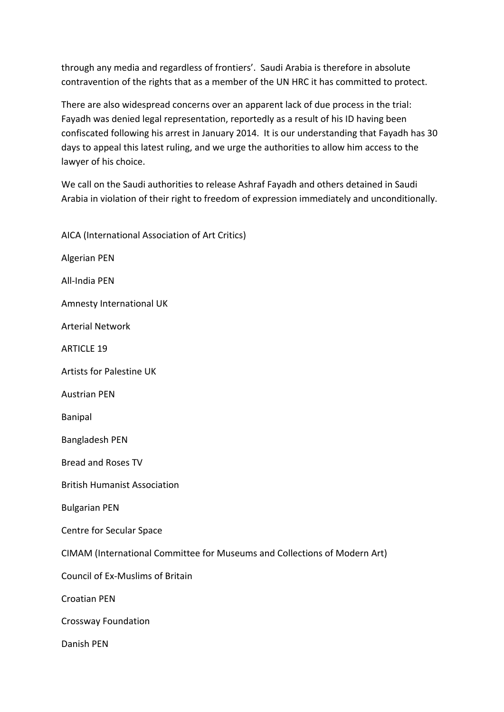through any media and regardless of frontiers'. Saudi Arabia is therefore in absolute contravention of the rights that as a member of the UN HRC it has committed to protect.

There are also widespread concerns over an apparent lack of due process in the trial: Fayadh was denied legal representation, reportedly as a result of his ID having been confiscated following his arrest in January 2014. It is our understanding that Fayadh has 30 days to appeal this latest ruling, and we urge the authorities to allow him access to the lawyer of his choice.

We call on the Saudi authorities to release Ashraf Fayadh and others detained in Saudi Arabia in violation of their right to freedom of expression immediately and unconditionally.

| AICA (International Association of Art Critics)                           |
|---------------------------------------------------------------------------|
| Algerian PEN                                                              |
| All-India PEN                                                             |
| Amnesty International UK                                                  |
| <b>Arterial Network</b>                                                   |
| <b>ARTICLE 19</b>                                                         |
| <b>Artists for Palestine UK</b>                                           |
| <b>Austrian PEN</b>                                                       |
| <b>Banipal</b>                                                            |
| <b>Bangladesh PEN</b>                                                     |
| <b>Bread and Roses TV</b>                                                 |
| <b>British Humanist Association</b>                                       |
| <b>Bulgarian PEN</b>                                                      |
| Centre for Secular Space                                                  |
| CIMAM (International Committee for Museums and Collections of Modern Art) |
| Council of Ex-Muslims of Britain                                          |
| <b>Croatian PEN</b>                                                       |
| <b>Crossway Foundation</b>                                                |
| Danish PEN                                                                |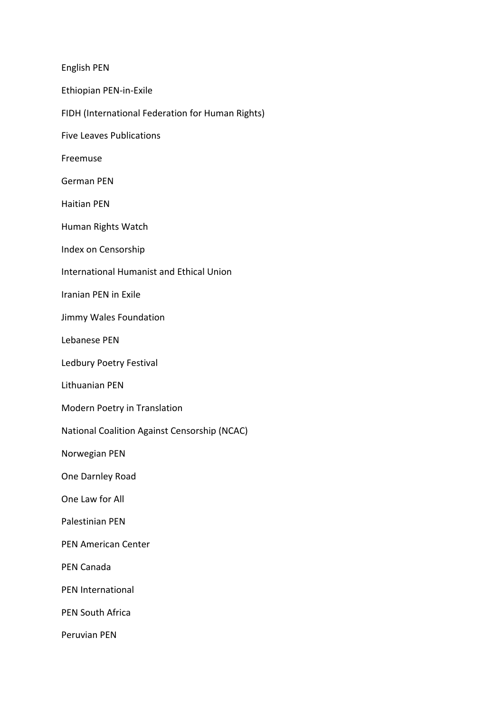English PEN Ethiopian PEN-in-Exile FIDH (International Federation for Human Rights) Five Leaves Publications Freemuse German PEN Haitian PEN Human Rights Watch Index on Censorship International Humanist and Ethical Union Iranian PEN in Exile Jimmy Wales Foundation Lebanese PEN Ledbury Poetry Festival Lithuanian PEN Modern Poetry in Translation National Coalition Against Censorship (NCAC) Norwegian PEN One Darnley Road One Law for All Palestinian PEN PEN American Center PEN Canada PEN International PEN South Africa Peruvian PEN